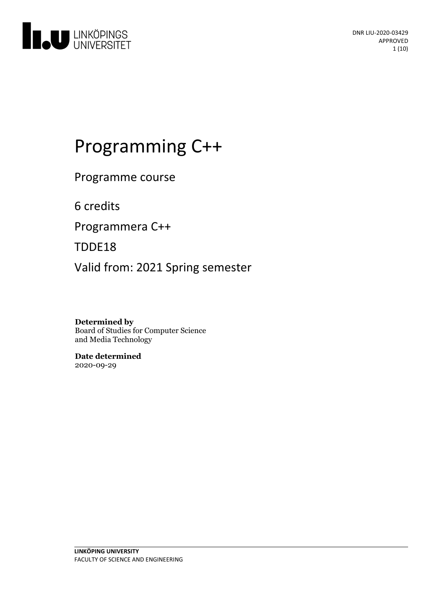

# Programming C++

Programme course

6 credits

Programmera C++

TDDE18

Valid from: 2021 Spring semester

**Determined by** Board of Studies for Computer Science and Media Technology

**Date determined** 2020-09-29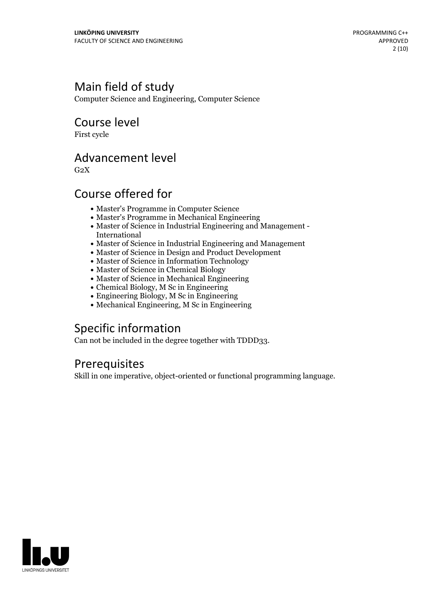# Main field of study

Computer Science and Engineering, Computer Science

# Course level

First cycle

# Advancement level

 $G<sub>2</sub>X$ 

# Course offered for

- Master's Programme in Computer Science
- Master's Programme in Mechanical Engineering
- Master of Science in Industrial Engineering and Management International
- Master of Science in Industrial Engineering and Management
- Master of Science in Design and Product Development
- Master of Science in Information Technology
- Master of Science in Chemical Biology
- Master of Science in Mechanical Engineering
- Chemical Biology, M Sc in Engineering
- Engineering Biology, M Sc in Engineering
- Mechanical Engineering, M Sc in Engineering

# Specific information

Can not be included in the degree together with TDDD33.

# **Prerequisites**

Skill in one imperative, object-oriented or functional programming language.

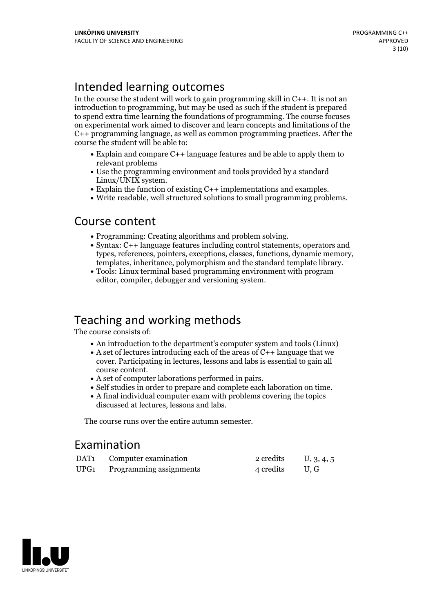# Intended learning outcomes

In the course the student will work to gain programming skill in  $C_{++}$ . It is not an introduction to programming, but may be used as such if the student is prepared to spend extra time learning the foundations of programming. The course focuses on experimental work aimed to discover and learn concepts and limitations of the C++ programming language, as well as common programming practices. After the course the student will be able to:

- Explain and compare C++ language features and be able to apply them to relevant problems
- Use the programming environment and tools provided by a standard
- Explain the function of existing  $C++$  implementations and examples.<br>Write readable, well structured solutions to small programming problems.
- 

### Course content

- 
- Programming: Creating algorithms and problem solving.<br>• Syntax: C++ language features including control statements, operators and types, references, pointers, exceptions, classes, functions, dynamic memory, templates, inheritance, polymorphism and the standard template library. Tools: Linux terminal based programming environment with program
- editor, compiler, debugger and versioning system.

# Teaching and working methods

The course consists of:

- An introduction to the department's computer system and tools (Linux)
- A set of lectures introducing each of the areas of  $C_{++}$  language that we cover. Participating in lectures, lessons and labs is essential to gain all
- 
- A set of computer laborations performed in pairs.<br>• Self studies in order to prepare and complete each laboration on time.<br>• A final individual computer exam with problems covering the topics
- discussed at lectures, lessons and labs.

The course runs over the entire autumn semester.

# Examination

| DAT <sub>1</sub> | Computer examination         | 2 credits      | U, 3, 4, 5 |
|------------------|------------------------------|----------------|------------|
|                  | UPG1 Programming assignments | 4 credits U, G |            |

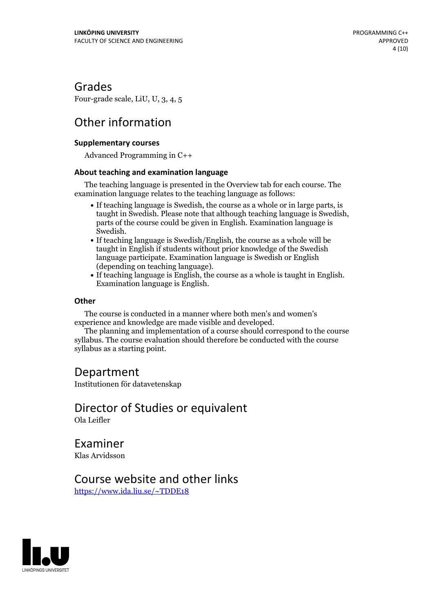# Grades

Four-grade scale, LiU, U, 3, 4, 5

# Other information

### **Supplementarycourses**

Advanced Programming in C++

### **About teaching and examination language**

The teaching language is presented in the Overview tab for each course. The examination language relates to the teaching language as follows:

- If teaching language is Swedish, the course as a whole or in large parts, is taught in Swedish. Please note that although teaching language is Swedish, parts of the course could be given in English. Examination language is Swedish.<br>• If teaching language is Swedish/English, the course as a whole will be
- taught in English if students without prior knowledge of the Swedish language participate. Examination language is Swedish or English (depending on teaching language).
- If teaching language is English, the course as <sup>a</sup> whole is taught in English. Examination language is English.

### **Other**

The course is conducted in a manner where both men's and women's

The planning and implementation of a course should correspond to the course syllabus. The course evaluation should therefore be conducted with the course syllabus as a starting point.

### Department

Institutionen för datavetenskap

### Director of Studies or equivalent Ola Leifler

Examiner Klas Arvidsson

# Course website and other links

<https://www.ida.liu.se/~TDDE18>

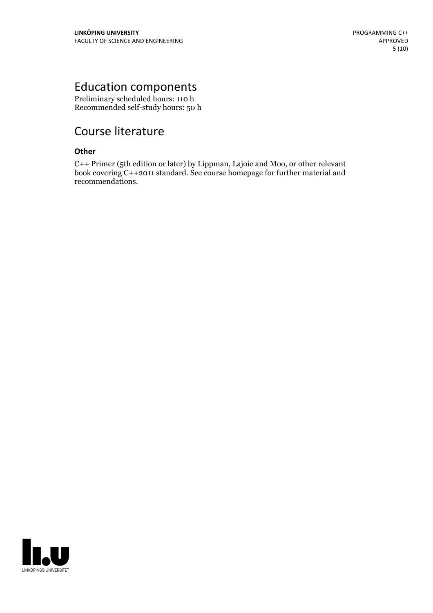# Education components

Preliminary scheduled hours: 110 h Recommended self-study hours: 50 h

# Course literature

### **Other**

C++ Primer (5th edition or later) by Lippman, Lajoie and Moo, or other relevant book covering C++2011 standard. See course homepage for further material and recommendations.

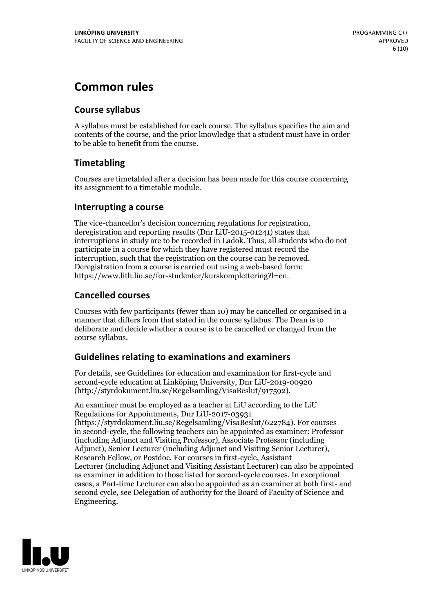# **Common rules**

### **Course syllabus**

A syllabus must be established for each course. The syllabus specifies the aim and contents of the course, and the prior knowledge that a student must have in order to be able to benefit from the course.

### **Timetabling**

Courses are timetabled after a decision has been made for this course concerning its assignment to a timetable module.

### **Interrupting a course**

The vice-chancellor's decision concerning regulations for registration, deregistration and reporting results (Dnr LiU-2015-01241) states that interruptions in study are to be recorded in Ladok. Thus, all students who do not participate in a course for which they have registered must record the interruption, such that the registration on the course can be removed. Deregistration from <sup>a</sup> course is carried outusing <sup>a</sup> web-based form: https://www.lith.liu.se/for-studenter/kurskomplettering?l=en.

### **Cancelled courses**

Courses with few participants (fewer than 10) may be cancelled or organised in a manner that differs from that stated in the course syllabus. The Dean is to deliberate and decide whether a course is to be cancelled or changed from the course syllabus.

### **Guidelines relatingto examinations and examiners**

For details, see Guidelines for education and examination for first-cycle and second-cycle education at Linköping University, Dnr LiU-2019-00920 (http://styrdokument.liu.se/Regelsamling/VisaBeslut/917592).

An examiner must be employed as a teacher at LiU according to the LiU Regulations for Appointments, Dnr LiU-2017-03931 (https://styrdokument.liu.se/Regelsamling/VisaBeslut/622784). For courses in second-cycle, the following teachers can be appointed as examiner: Professor (including Adjunct and Visiting Professor), Associate Professor (including Adjunct), Senior Lecturer (including Adjunct and Visiting Senior Lecturer), Research Fellow, or Postdoc. For courses in first-cycle, Assistant Lecturer (including Adjunct and Visiting Assistant Lecturer) can also be appointed as examiner in addition to those listed for second-cycle courses. In exceptional cases, a Part-time Lecturer can also be appointed as an examiner at both first- and second cycle, see Delegation of authority for the Board of Faculty of Science and Engineering.

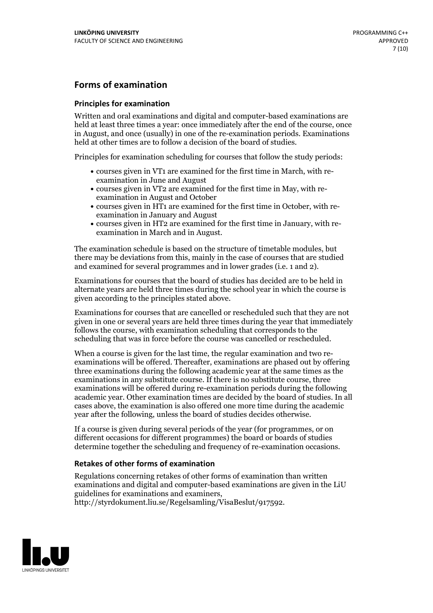### **Forms of examination**

#### **Principles for examination**

Written and oral examinations and digital and computer-based examinations are held at least three times a year: once immediately after the end of the course, once in August, and once (usually) in one of the re-examination periods. Examinations held at other times are to follow a decision of the board of studies.

Principles for examination scheduling for courses that follow the study periods:

- courses given in VT1 are examined for the first time in March, with re-examination in June and August
- courses given in VT2 are examined for the first time in May, with re-examination in August and October
- courses given in HT1 are examined for the first time in October, with re-examination in January and August
- courses given in HT2 are examined for the first time in January, with re-examination in March and in August.

The examination schedule is based on the structure of timetable modules, but there may be deviations from this, mainly in the case of courses that are studied and examined for several programmes and in lower grades (i.e. 1 and 2).

Examinations for courses that the board of studies has decided are to be held in alternate years are held three times during the school year in which the course is given according to the principles stated above.

Examinations for courses that are cancelled orrescheduled such that they are not given in one or several years are held three times during the year that immediately follows the course, with examination scheduling that corresponds to the scheduling that was in force before the course was cancelled or rescheduled.

When a course is given for the last time, the regular examination and two re-<br>examinations will be offered. Thereafter, examinations are phased out by offering three examinations during the following academic year at the same times as the examinations in any substitute course. If there is no substitute course, three examinations will be offered during re-examination periods during the following academic year. Other examination times are decided by the board of studies. In all cases above, the examination is also offered one more time during the academic year after the following, unless the board of studies decides otherwise.

If a course is given during several periods of the year (for programmes, or on different occasions for different programmes) the board or boards of studies determine together the scheduling and frequency of re-examination occasions.

### **Retakes of other forms of examination**

Regulations concerning retakes of other forms of examination than written examinations and digital and computer-based examinations are given in the LiU guidelines for examinations and examiners, http://styrdokument.liu.se/Regelsamling/VisaBeslut/917592.

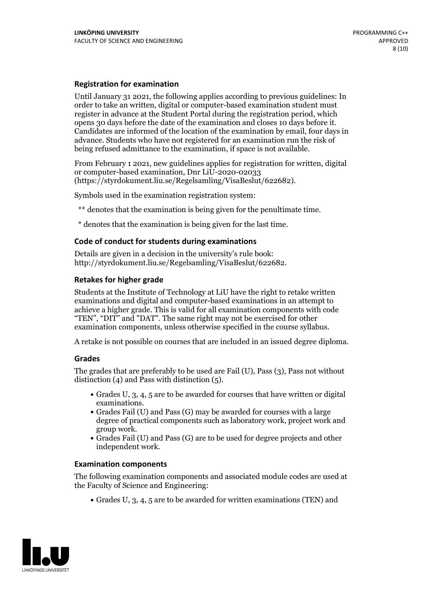#### **Registration for examination**

Until January 31 2021, the following applies according to previous guidelines: In order to take an written, digital or computer-based examination student must register in advance at the Student Portal during the registration period, which Candidates are informed of the location of the examination by email, four days in advance. Students who have not registered for an examination run the risk of being refused admittance to the examination, if space is not available.

From February 1 2021, new guidelines applies for registration for written, digital or computer-based examination, Dnr LiU-2020-02033 (https://styrdokument.liu.se/Regelsamling/VisaBeslut/622682).

Symbols used in the examination registration system:

\*\* denotes that the examination is being given for the penultimate time.

\* denotes that the examination is being given for the last time.

#### **Code of conduct for students during examinations**

Details are given in a decision in the university's rule book: http://styrdokument.liu.se/Regelsamling/VisaBeslut/622682.

#### **Retakes for higher grade**

Students at the Institute of Technology at LiU have the right to retake written examinations and digital and computer-based examinations in an attempt to achieve a higher grade. This is valid for all examination components with code "TEN", "DIT" and "DAT". The same right may not be exercised for other examination components, unless otherwise specified in the course syllabus.

A retake is not possible on courses that are included in an issued degree diploma.

#### **Grades**

The grades that are preferably to be used are Fail (U), Pass (3), Pass not without distinction  $(4)$  and Pass with distinction  $(5)$ .

- Grades U, 3, 4, 5 are to be awarded for courses that have written or digital examinations.<br>• Grades Fail (U) and Pass (G) may be awarded for courses with a large
- degree of practical components such as laboratory work, project work and
- $\bullet$  Grades Fail (U) and Pass (G) are to be used for degree projects and other independent work.

#### **Examination components**

The following examination components and associated module codes are used at the Faculty of Science and Engineering:

Grades U, 3, 4, 5 are to be awarded for written examinations (TEN) and

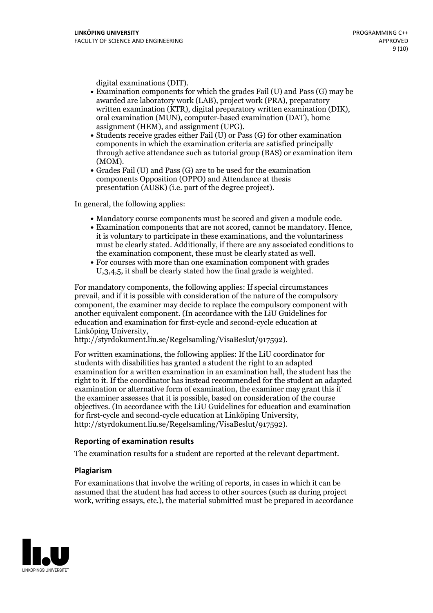- digital examinations (DIT).<br>• Examination components for which the grades Fail (U) and Pass (G) may be awarded are laboratory work (LAB), project work (PRA), preparatory written examination (KTR), digital preparatory written examination (DIK), oral examination (MUN), computer-based examination (DAT), home
- assignment (HEM), and assignment (UPG).<br>• Students receive grades either Fail (U) or Pass (G) for other examination components in which the examination criteria are satisfied principally through active attendance such as tutorial group (BAS) or examination item
- (MOM).<br>• Grades Fail (U) and Pass (G) are to be used for the examination components Opposition (OPPO) and Attendance at thesis presentation (AUSK) (i.e. part of the degree project).

In general, the following applies:

- 
- Mandatory course components must be scored and given <sup>a</sup> module code. Examination components that are not scored, cannot be mandatory. Hence, it is voluntary to participate in these examinations, and the voluntariness must be clearly stated. Additionally, if there are any associated conditions to the examination component, these must be clearly stated as well.<br>• For courses with more than one examination component with grades
- U,3,4,5, it shall be clearly stated how the final grade is weighted.

For mandatory components, the following applies: If special circumstances prevail, and if it is possible with consideration of the nature ofthe compulsory component, the examiner may decide to replace the compulsory component with another equivalent component. (In accordance with the LiU Guidelines for education and examination for first-cycle and second-cycle education at Linköping University, http://styrdokument.liu.se/Regelsamling/VisaBeslut/917592).

For written examinations, the following applies: If the LiU coordinator for students with disabilities has granted a student the right to an adapted examination for a written examination in an examination hall, the student has the right to it. If the coordinator has instead recommended for the student an adapted examination or alternative form of examination, the examiner may grant this if the examiner assesses that it is possible, based on consideration of the course objectives. (In accordance with the LiU Guidelines for education and examination for first-cycle and second-cycle education at Linköping University, http://styrdokument.liu.se/Regelsamling/VisaBeslut/917592).

#### **Reporting of examination results**

The examination results for a student are reported at the relevant department.

#### **Plagiarism**

For examinations that involve the writing of reports, in cases in which it can be assumed that the student has had access to other sources (such as during project work, writing essays, etc.), the material submitted must be prepared in accordance